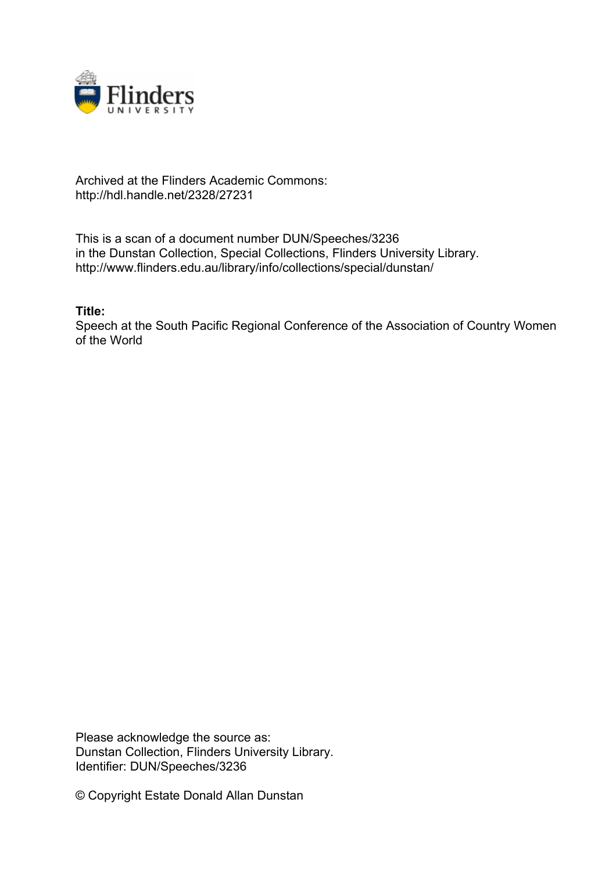

## Archived at the Flinders Academic Commons: http://hdl.handle.net/2328/27231

This is a scan of a document number DUN/Speeches/3236 in the Dunstan Collection, Special Collections, Flinders University Library. http://www.flinders.edu.au/library/info/collections/special/dunstan/

**Title:**

Speech at the South Pacific Regional Conference of the Association of Country Women of the World

Please acknowledge the source as: Dunstan Collection, Flinders University Library. Identifier: DUN/Speeches/3236

© Copyright Estate Donald Allan Dunstan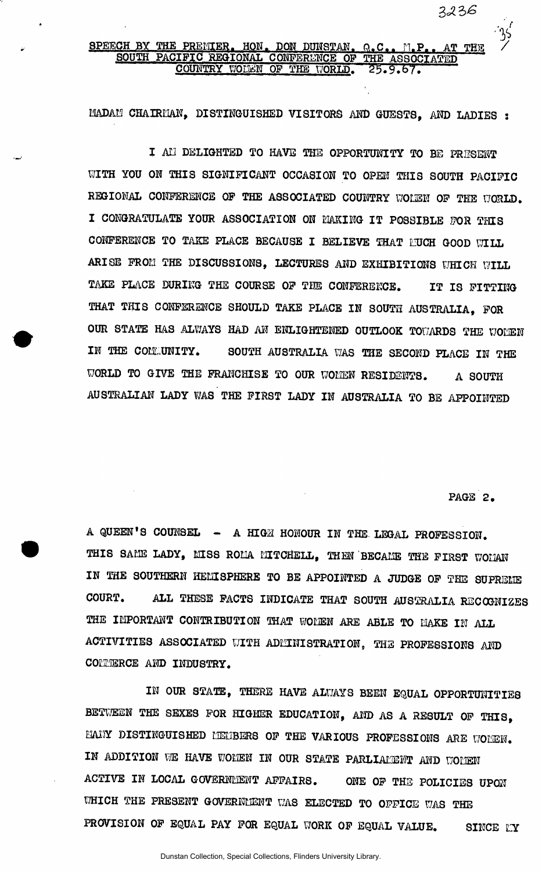**3** 

## SPEECH BY THE PREMIER. HON. DON DUNSTAN, Q.C., M.P., AT THE / *i* <sup>*i*</sup> *j*<sup>*/*</sup> SOUTH PACIFIC REGIONAL CONFERENCE OF THE ASSOCIATED COUNTRY WOLEN OF THE WORLD.

MADAM CHAIRMAN, DISTINGUISHED VISITORS AND GUESTS, AND LADIES :

I AM DELIGHTED TO HAVE THE OPPORTUNITY TO BE PRESENT WITH YOU ON THIS SIGNIFICANT OCCASION TO OPEN THIS SOUTH PACIFIC REGIONAL CONFERENCE OF THE ASSOCIATED COUNTRY WOLEN OF THE WORLD. I CONGRATULATE YOUR ASSOCIATION ON MAKING IT POSSIBLE FOR THIS CONFERENCE TO TAKE PLACE BECAUSE I BELIEVE THAT NUCH GOOD WILL ARISE FROM THE DISCUSSIONS, LECTURES AND EXHIBITIONS WHICH WILL TAKE PLACE DURING THE COURSE OF THE CONFERENCE. IT IS FITTING THAT THIS CONFERENCE SHOULD TAKE PLACE IN SOUTH AUSTRALIA, FOR OUR STATE HAS ALWAYS HAD AN ENLIGHTENED OUTLOOK TOWARDS THE WOMEN IN THE COMMUNITY. SOUTH AUSTRALIA WAS THE SECOND PLACE IN THE WORLD TO GIVE THE FRANCHISE TO OUR WOMEN RESIDENTS. A SOUTH AUSTRALIAN LADY WAS THE FIRST LADY IN AUSTRALIA TO BE APPOINTED

PAGE 2.

A QUEEN'S COUNSEL - A HIGH HONOUR IN THE LEGAL PROFESSION. THIS SAME LADY, MISS ROMA MITCHELL, THEN BECAME THE FIRST WOMAN IN THE SOUTHERN HEMISPHERE TO BE APPOINTED A JUDGE OF THE SUPREME COURT. ALL THESE FACTS INDICATE THAT SOUTH AUSTRALIA RECOGNIZES THE IMPORTANT CONTRIBUTION THAT WOMEN ARE ABLE TO MAKE IN ALL ACTIVITIES ASSOCIATED WITH ADMINISTRATION, THE PROFESSIONS AND COMMERCE AND INDUSTRY.

IN OUR STATE, THERE HAVE ALWAYS BEEN EQUAL OPPORTUNITIES BETWEEN THE SEXES FOR HIGHER EDUCATION, AND AS A RESULT OF THIS, HANY DISTINGUISHED MEMBERS OF THE VARIOUS PROFESSIONS ARE WOMEN. IN ADDITION WE HAVE WOMEN IN OUR STATE PARLIAMENT AND WOMEN ACTIVE IN LOCAL GOVERNMENT AFFAIRS. ONE OF THE POLICIES UPON WHICH THE PRESENT GOVERNMENT WAS ELECTED TO OFFICE WAS THE PROVISION OF EQUAL PAY FOR EQUAL WORK OF EQUAL VALUE. SINCE LY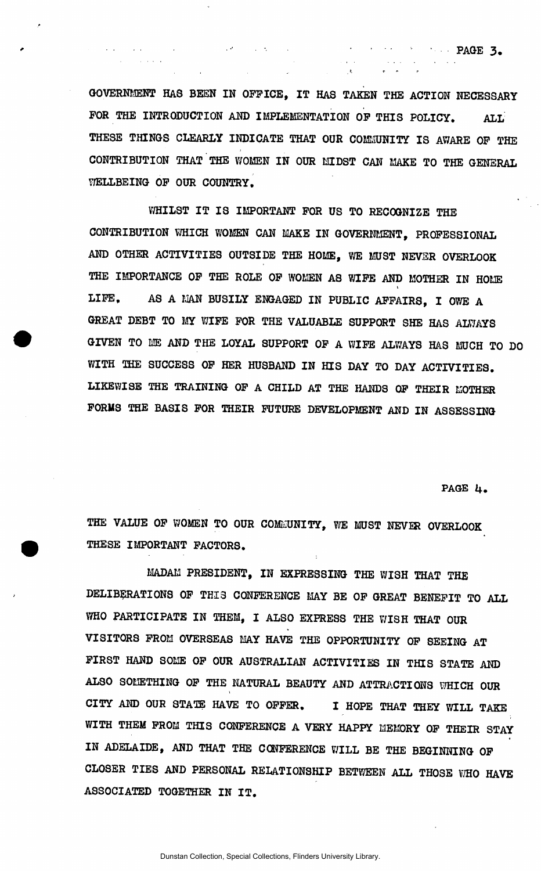GOVERNMENT HAS BEEN IN OFFICE, IT HAS TAKEN THE ACTION NECESSARY FOR THE INTRODUCTION AND IMPLEMENTATION OF THIS POLICY. ALL THESE THINGS CLEARLY INDICATE THAT OUR COMMUNITY IS AWARE OF THE CONTRIBUTION THAT THE WOMEN IN OUR MIDST CAN MAKE TO THE GENERAL WELLBEING OF OUR COUNTRY.

WHILST IT IS IMPORTANT FOR US TO RECOGNIZE THE CONTRIBUTION WHICH WOMEN CAN MAKE IN GOVERNMENT, PROFESSIONAL AND OTHER ACTIVITIES OUTSIDE THE HOME, WE MUST NEVER OVERLOOK THE IMPORTANCE OF THE ROLE OF WOMEN AS WIFE AND MOTHER IN HOME t LIFE. AS A MAN BUSILY ENGAGED IN PUBLIC AFFAIRS, I OWE A GREAT DEBT TO MY WIFE FOR THE VALUABLE SUPPORT SHE HAS ALWAYS GIVEN TO MS AND THE LOYAL SUPPORT OF A WIFE ALWAYS HAS MUCH TO DO WITH THE SUCCESS OF HER HUSBAND IN HIS DAY TO DAY ACTIVITIES. LIKEWISE THE TRAINING OF A CHILD AT THE HANDS OF THEIR MOTHER FORMS THE BASIS FOR THEIR FUTURE DEVELOPMENT AND IN ASSESSING

**PAGE U.** 

' ' • • • ' • PAGE 3 .

. t *\* ' r* 

THE VALUE OF WOMEN TO OUR COMMUNITY, WE MUST NEVER OVERLOOK THESE IMPORTANT FACTORS.

MADAM PRESIDENT, IN EXPRESSING THE WISH THAT THE DELIBERATIONS OF THIS CONFERENCE MAY BE OF GREAT BENEFIT TO ALL WHO PARTICIPATE IN THEM, I ALSO EXPRESS THE WISH THAT OUR VISITORS FROM OVERSEAS MAY HAVE THE OPPORTUNITY OF SEEING AT FIRST HAND SOME OF OUR AUSTRALIAN ACTIVITIES IN THIS STATE AND ALSO SOMETHING OF THE NATURAL BEAUTY AND ATTRACTIONS WHICH OUR CITY AND OUR STATE HAVE TO OFFER. I HOPE THAT THEY WILL TAKE WITH THEM FROM THIS CONFERENCE A VERY HAPPY MEMORY OF THEIR STAY IN ADELAIDE, AND THAT THE CONFERENCE WILL BE THE BEGINNING OF CLOSER TIES AND PERSONAL RELATIONSHIP BETWEEN ALL THOSE WHO HAVE ASSOCIATED TOGETHER IN IT .

Dunstan Collection, Special Collections, Flinders University Library.